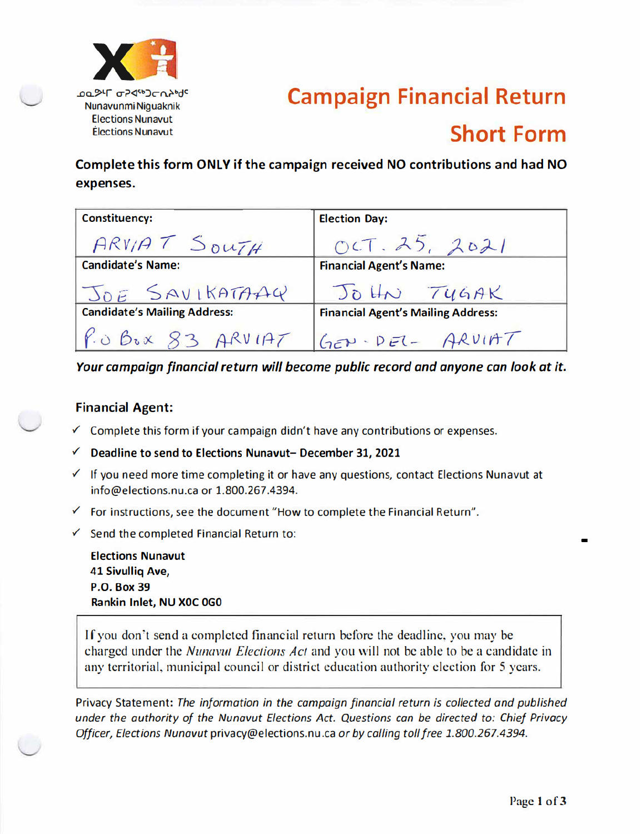

# **Campaign Financial Return Short Form**

Complete this form ONLY if the campaign received NO contributions and had NO expenses.

| <b>Constituency:</b>                | <b>Election Day:</b>                      |
|-------------------------------------|-------------------------------------------|
| ARVIAT SOUTH                        | OCT.25, 2021                              |
| <b>Candidate's Name:</b>            | <b>Financial Agent's Name:</b>            |
| JOE SAVIKATAAG                      | JOHN TYGAK                                |
| <b>Candidate's Mailing Address:</b> | <b>Financial Agent's Mailing Address:</b> |
| $P.0$ BOX $83$ ARVIAT               | $Gev - DEI - ARVIAT$                      |

Your campaign financial return will become public record and anyone can look at it.

### **Financial Agent:**

- $\checkmark$  Complete this form if your campaign didn't have any contributions or expenses.
- $\checkmark$  Deadline to send to Elections Nunavut-December 31, 2021
- √ If you need more time completing it or have any questions, contact Elections Nunavut at info@elections.nu.ca or 1.800.267.4394.
- $\checkmark$  For instructions, see the document "How to complete the Financial Return".
- $\checkmark$  Send the completed Financial Return to:

**Elections Nunavut** 41 Sivullig Ave, **P.O. Box 39** Rankin Inlet, NU XOC 0G0

If you don't send a completed financial return before the deadline, you may be charged under the *Nunavut Elections Act* and you will not be able to be a candidate in any territorial, municipal council or district education authority election for 5 years.

Privacy Statement: The information in the campaign financial return is collected and published under the authority of the Nunavut Elections Act. Questions can be directed to: Chief Privacy Officer, Elections Nunavut privacy@elections.nu.ca or by calling toll free 1.800.267.4394.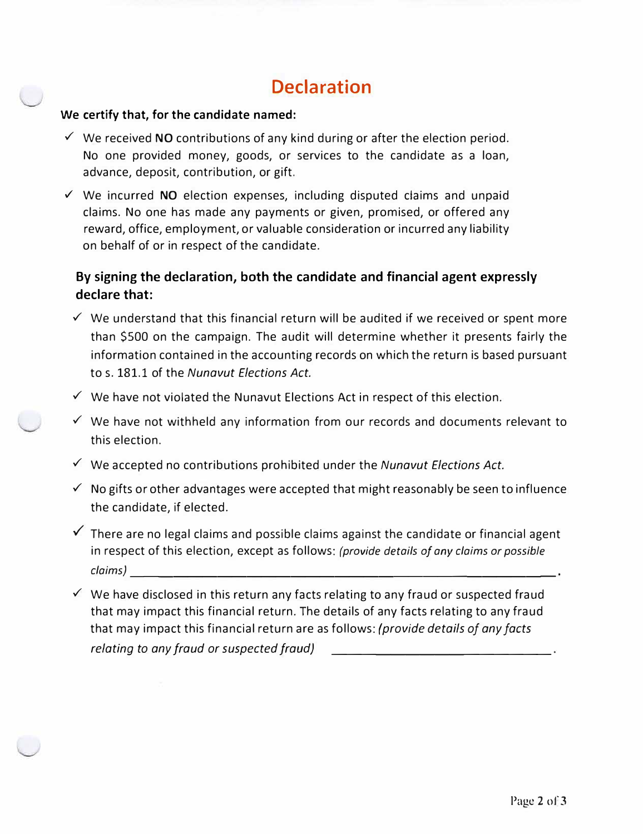## **Declaration**

#### **We certify that, for the candidate named:**

- ✓ We received **NO** contributions of any kind during or after the election period. No one provided money, goods, or services to the candidate as a loan, advance, deposit, contribution, or gift.
- ✓ We incurred **NO** election expenses, including disputed claims and unpaid claims. No one has made any payments or given, promised, or offered any reward, office, employment, or valuable consideration or incurred any liability on behalf of or in respect of the candidate.

### **By signing the declaration, both the candidate and financial agent expressly declare that:**

- $\checkmark$  We understand that this financial return will be audited if we received or spent more than \$500 on the campaign. The audit will determine whether it presents fairly the information contained in the accounting records on which the return is based pursuant to s. 181.1 of the *Nunavut Elections Act.*
- $\checkmark$  We have not violated the Nunavut Elections Act in respect of this election.
- ✓ We have not withheld any information from our records and documents relevant to this election.
- ✓ We accepted no contributions prohibited under the *Nunavut Elections Act.*
- $\checkmark$  No gifts or other advantages were accepted that might reasonably be seen to influence the candidate, if elected.
- $\checkmark$  There are no legal claims and possible claims against the candidate or financial agent in respect of this election, except as follows: *(provide details of any claims or possible claims)*-----------------------------
- ✓ We have disclosed in this return any facts relating to any fraud or suspected fraud that may impact this financial return. The details of any facts relating to any fraud that may impact this financial return are as follows: *(provide details of any facts relating to any fraud or suspected fraud) \_\_\_\_\_\_\_\_\_\_\_\_\_\_ \_*